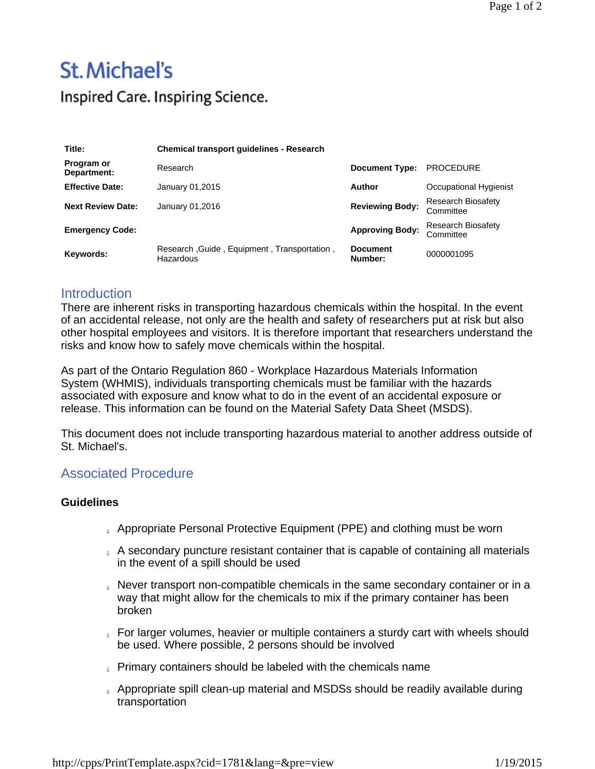## St. Michael's Inspired Care. Inspiring Science.

| Title:                    | <b>Chemical transport guidelines - Research</b>          |                            |                                 |
|---------------------------|----------------------------------------------------------|----------------------------|---------------------------------|
| Program or<br>Department: | Research                                                 | <b>Document Type:</b>      | <b>PROCEDURE</b>                |
| <b>Effective Date:</b>    | January 01,2015                                          | Author                     | Occupational Hygienist          |
| <b>Next Review Date:</b>  | January 01,2016                                          | <b>Reviewing Body:</b>     | Research Biosafety<br>Committee |
| <b>Emergency Code:</b>    |                                                          | <b>Approving Body:</b>     | Research Biosafety<br>Committee |
| Keywords:                 | Research, Guide, Equipment, Transportation,<br>Hazardous | <b>Document</b><br>Number: | 0000001095                      |

## **Introduction**

There are inherent risks in transporting hazardous chemicals within the hospital. In the event of an accidental release, not only are the health and safety of researchers put at risk but also other hospital employees and visitors. It is therefore important that researchers understand the risks and know how to safely move chemicals within the hospital.

As part of the Ontario Regulation 860 - Workplace Hazardous Materials Information System (WHMIS), individuals transporting chemicals must be familiar with the hazards associated with exposure and know what to do in the event of an accidental exposure or release. This information can be found on the Material Safety Data Sheet (MSDS).

This document does not include transporting hazardous material to another address outside of St. Michael's.

## Associated Procedure

## **Guidelines**

- Appropriate Personal Protective Equipment (PPE) and clothing must be worn
- $\epsilon$  A secondary puncture resistant container that is capable of containing all materials in the event of a spill should be used
- Never transport non-compatible chemicals in the same secondary container or in a way that might allow for the chemicals to mix if the primary container has been broken
- For larger volumes, heavier or multiple containers a sturdy cart with wheels should be used. Where possible, 2 persons should be involved
- **Primary containers should be labeled with the chemicals name**
- a Appropriate spill clean-up material and MSDSs should be readily available during transportation